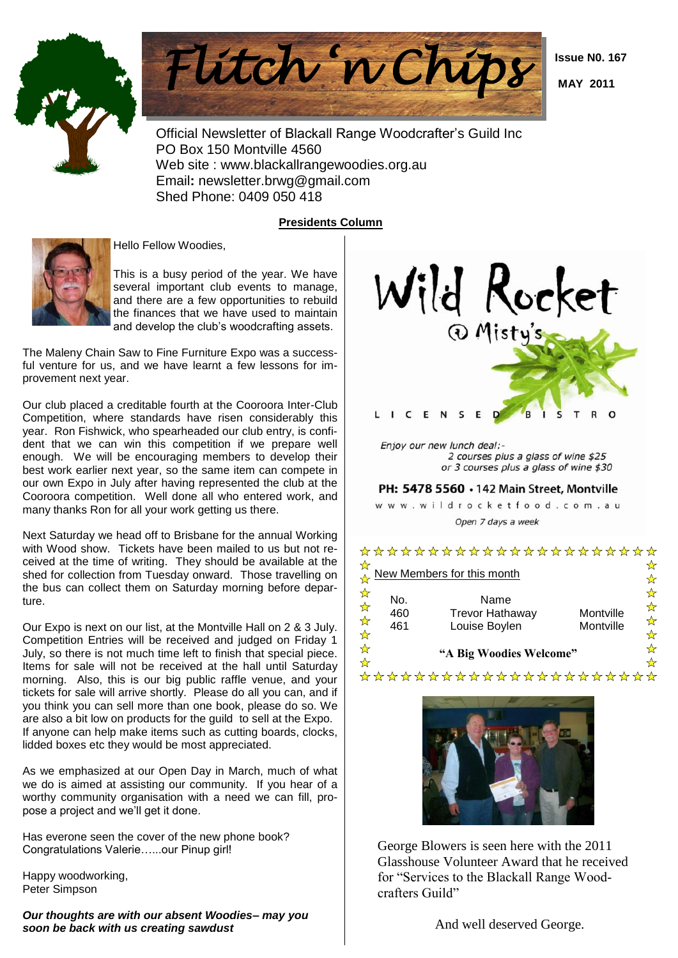



 **Issue N0. 167**

 **MAY 2011**

 Official Newsletter of Blackall Range Woodcrafter's Guild Inc PO Box 150 Montville 4560 Web site : www.blackallrangewoodies.org.au Email**:** newsletter.brwg@gmail.com Shed Phone: 0409 050 418

### **Presidents Column**



Hello Fellow Woodies,

This is a busy period of the year. We have several important club events to manage, and there are a few opportunities to rebuild the finances that we have used to maintain and develop the club's woodcrafting assets.

The Maleny Chain Saw to Fine Furniture Expo was a successful venture for us, and we have learnt a few lessons for improvement next year.

Our club placed a creditable fourth at the Cooroora Inter-Club Competition, where standards have risen considerably this year. Ron Fishwick, who spearheaded our club entry, is confident that we can win this competition if we prepare well enough. We will be encouraging members to develop their best work earlier next year, so the same item can compete in our own Expo in July after having represented the club at the Cooroora competition. Well done all who entered work, and many thanks Ron for all your work getting us there.

Next Saturday we head off to Brisbane for the annual Working with Wood show. Tickets have been mailed to us but not received at the time of writing. They should be available at the shed for collection from Tuesday onward. Those travelling on the bus can collect them on Saturday morning before departure.

Our Expo is next on our list, at the Montville Hall on 2 & 3 July. Competition Entries will be received and judged on Friday 1 July, so there is not much time left to finish that special piece. Items for sale will not be received at the hall until Saturday morning. Also, this is our big public raffle venue, and your tickets for sale will arrive shortly. Please do all you can, and if you think you can sell more than one book, please do so. We are also a bit low on products for the guild to sell at the Expo. If anyone can help make items such as cutting boards, clocks, lidded boxes etc they would be most appreciated.

As we emphasized at our Open Day in March, much of what we do is aimed at assisting our community. If you hear of a worthy community organisation with a need we can fill, propose a project and we'll get it done.

Has everone seen the cover of the new phone book? Congratulations Valerie…...our Pinup girl!

Happy woodworking, Peter Simpson

*Our thoughts are with our absent Woodies– may you soon be back with us creating sawdust*



## ☆☆☆☆☆☆☆☆☆ ☆☆☆☆☆☆☆ New Members for this month No. Name 460 Trevor Hathaway Montville 461 Louise Boylen Montville **"A Big Woodies Welcome"** \*\*\*\*\*\*\*\*\*\*\*\*\*\*\*\*\*\*\*\*\*\*

\*\*\*\*\*\*\*\*\*\*\*\*\*\*\*\*\*\*\*\*\*\*



George Blowers is seen here with the 2011 Glasshouse Volunteer Award that he received for "Services to the Blackall Range Woodcrafters Guild"

And well deserved George.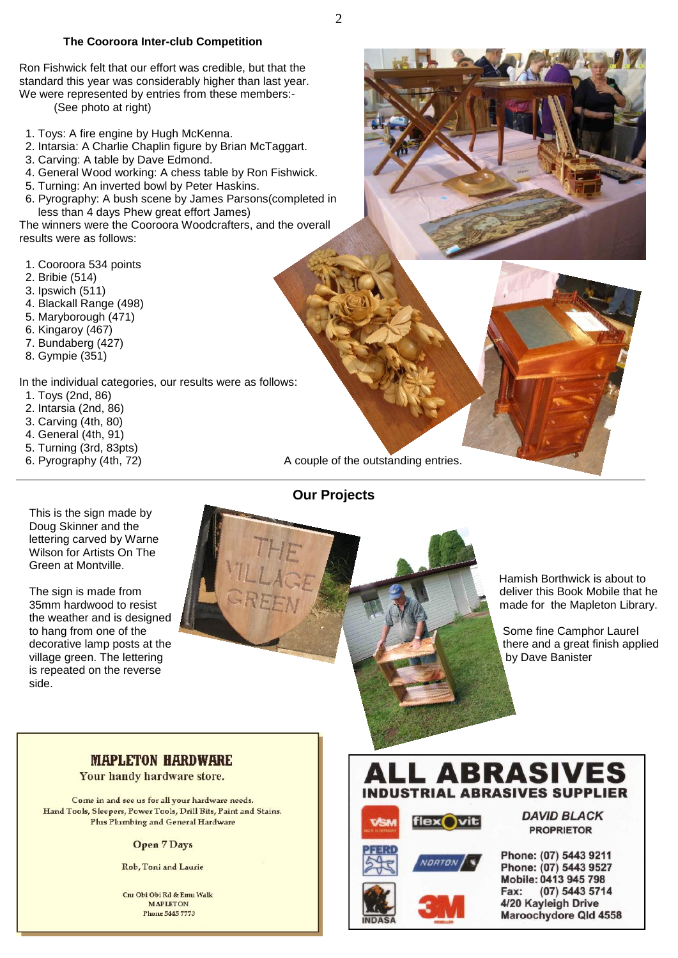#### **The Cooroora Inter-club Competition**

Ron Fishwick felt that our effort was credible, but that the standard this year was considerably higher than last year. We were represented by entries from these members:-

(See photo at right)

- 1. Toys: A fire engine by Hugh McKenna.
- 2. Intarsia: A Charlie Chaplin figure by Brian McTaggart.
- 3. Carving: A table by Dave Edmond.
- 4. General Wood working: A chess table by Ron Fishwick.
- 5. Turning: An inverted bowl by Peter Haskins.
- 6. Pyrography: A bush scene by James Parsons(completed in less than 4 days Phew great effort James)

The winners were the Cooroora Woodcrafters, and the overall results were as follows:

- 1. Cooroora 534 points
- 2. Bribie (514)
- 3. Ipswich (511)
- 4. Blackall Range (498)
- 5. Maryborough (471)
- 6. Kingaroy (467)
- 7. Bundaberg (427)
- 8. Gympie (351)

In the individual categories, our results were as follows:

- 1. Toys (2nd, 86)
- 2. Intarsia (2nd, 86)
- 3. Carving (4th, 80)
- 4. General (4th, 91)
- 5. Turning (3rd, 83pts)
- 

6. Pyrography (4th, 72) A couple of the outstanding entries.

**Our Projects**



The sign is made from 35mm hardwood to resist the weather and is designed to hang from one of the decorative lamp posts at the village green. The lettering is repeated on the reverse side.



 Hamish Borthwick is about to deliver this Book Mobile that he made for the Mapleton Library.

 Some fine Camphor Laurel there and a great finish applied by Dave Banister

## **MAPLETON HARDWARE**

Your handy hardware store.

Come in and see us for all your hardware needs. Hand Tools, Sleepers, Power Tools, Drill Bits, Paint and Stains. Plus Plumbing and General Hardware

#### **Open 7 Days**

Rob, Toni and Laurie

Cur Obi Obi Rd & Emn Walk **MAPLETON Phone 5445 7773** 

# ABRASIV **INDUSTRIAL ARRASIVES SUPPLIER**







**DAVID BLACK PROPRIETOR** 

#### Phone: (07) 5443 9211 Phone: (07) 5443 9527 Mobile: 0413 945 798 Fax: (07) 5443 5714 4/20 Kayleigh Drive Maroochydore Qld 4558

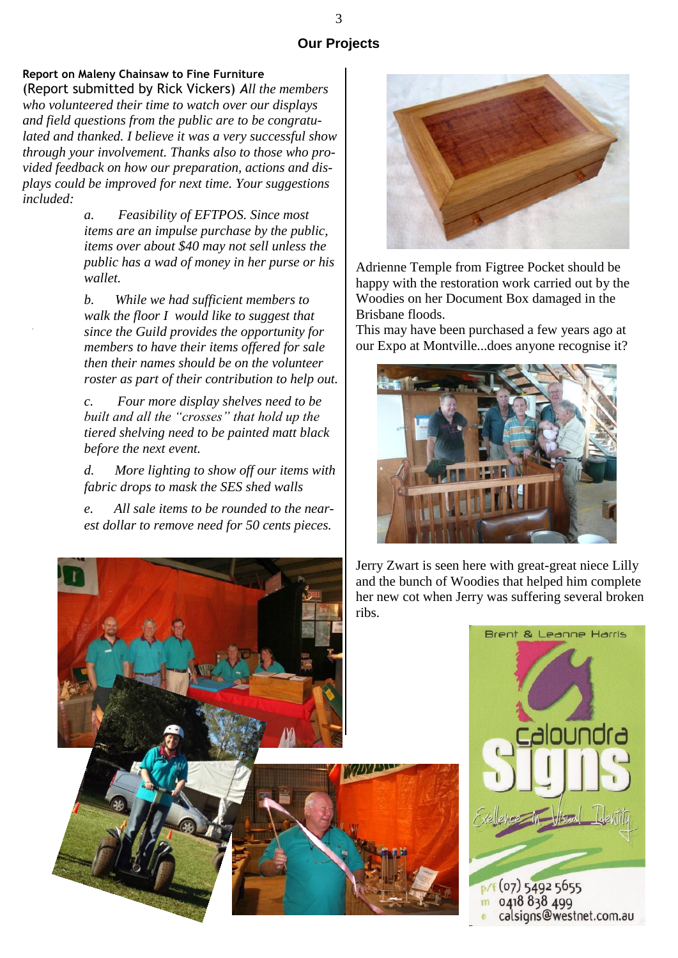## **Our Projects**

# **Report on Maleny Chainsaw to Fine Furniture**

(Report submitted by Rick Vickers) *All the members who volunteered their time to watch over our displays and field questions from the public are to be congratulated and thanked. I believe it was a very successful show through your involvement. Thanks also to those who provided feedback on how our preparation, actions and displays could be improved for next time. Your suggestions included:*

> *a. Feasibility of EFTPOS. Since most items are an impulse purchase by the public, items over about \$40 may not sell unless the public has a wad of money in her purse or his wallet.*

*b. While we had sufficient members to walk the floor I would like to suggest that since the Guild provides the opportunity for members to have their items offered for sale then their names should be on the volunteer roster as part of their contribution to help out.*

*c. Four more display shelves need to be built and all the "crosses" that hold up the tiered shelving need to be painted matt black before the next event.*

*d. More lighting to show off our items with fabric drops to mask the SES shed walls*

*e. All sale items to be rounded to the nearest dollar to remove need for 50 cents pieces.*



Adrienne Temple from Figtree Pocket should be happy with the restoration work carried out by the Woodies on her Document Box damaged in the Brisbane floods.

This may have been purchased a few years ago at our Expo at Montville...does anyone recognise it?



Jerry Zwart is seen here with great-great niece Lilly and the bunch of Woodies that helped him complete her new cot when Jerry was suffering several broken ribs.

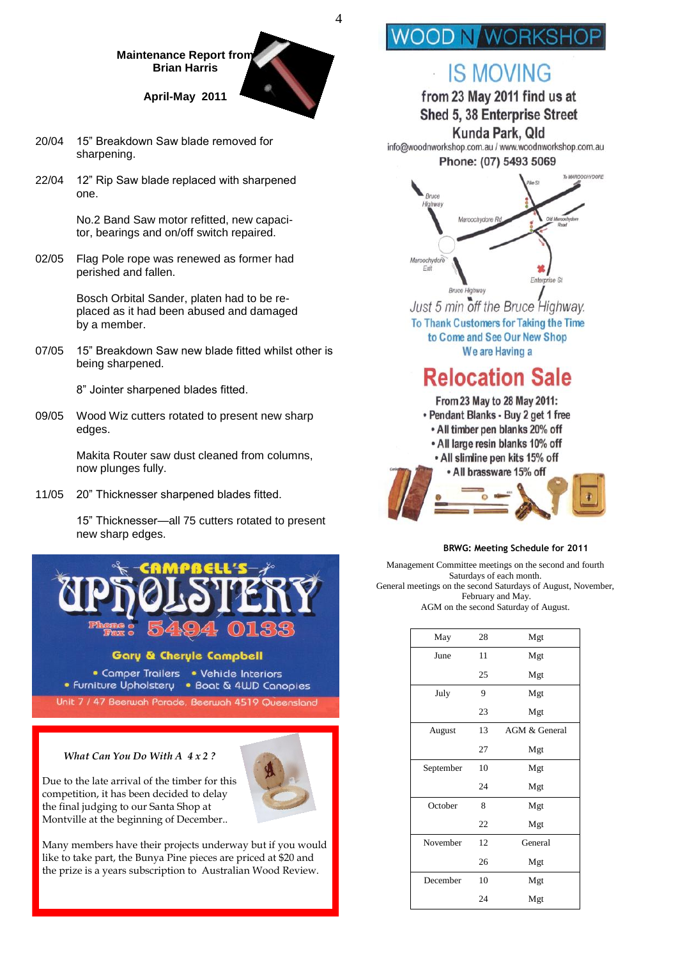#### **Maintenance Report from Brian Harris**

**April-May 2011**

- 20/04 15" Breakdown Saw blade removed for sharpening.
- 22/04 12" Rip Saw blade replaced with sharpened one.

No.2 Band Saw motor refitted, new capacitor, bearings and on/off switch repaired.

02/05 Flag Pole rope was renewed as former had perished and fallen.

> Bosch Orbital Sander, platen had to be replaced as it had been abused and damaged by a member.

07/05 15" Breakdown Saw new blade fitted whilst other is being sharpened.

8" Jointer sharpened blades fitted.

09/05 Wood Wiz cutters rotated to present new sharp edges.

> Makita Router saw dust cleaned from columns, now plunges fully.

11/05 20" Thicknesser sharpened blades fitted.

 15" Thicknesser—all 75 cutters rotated to present new sharp edges.



#### **Gary & Cheryle Campbell**

• Camper Trailers • Vehicle Interiors • Furniture Upholstery • Boat & 4WD Canopies

Unit 7 / 47 Beerwah Parade, Beerwah 4519 Queensland

#### *What Can You Do With A 4 x 2 ?*

Due to the late arrival of the timber for this competition, it has been decided to delay the final judging to our Santa Shop at Montville at the beginning of December..



Many members have their projects underway but if you would like to take part, the Bunya Pine pieces are priced at \$20 and the prize is a years subscription to Australian Wood Review.

# **OD N WORKSH**

4

# **IS MOVING**

from 23 May 2011 find us at

Shed 5, 38 Enterprise Street

Kunda Park, Old info@woodnworkshop.com.au / www.woodnworkshop.com.au

Phone: (07) 5493 5069



Just 5 min off the Bruce Highway. To Thank Customers for Taking the Time to Come and See Our New Shop We are Having a

# **Relocation Sale**



#### **BRWG: Meeting Schedule for 2011**

Management Committee meetings on the second and fourth Saturdays of each month. General meetings on the second Saturdays of August, November, February and May. AGM on the second Saturday of August.

| May       | 28 | Mgt           |
|-----------|----|---------------|
| June      | 11 | Mgt           |
|           | 25 | Mgt           |
| July      | 9  | Mgt           |
|           | 23 | Mgt           |
| August    | 13 | AGM & General |
|           | 27 | Mgt           |
| September | 10 | Mgt           |
|           | 24 | Mgt           |
| October   | 8  | Mgt           |
|           | 22 | Mgt           |
| November  | 12 | General       |
|           | 26 | Mgt           |
| December  | 10 | Mgt           |
|           | 24 | Mgt           |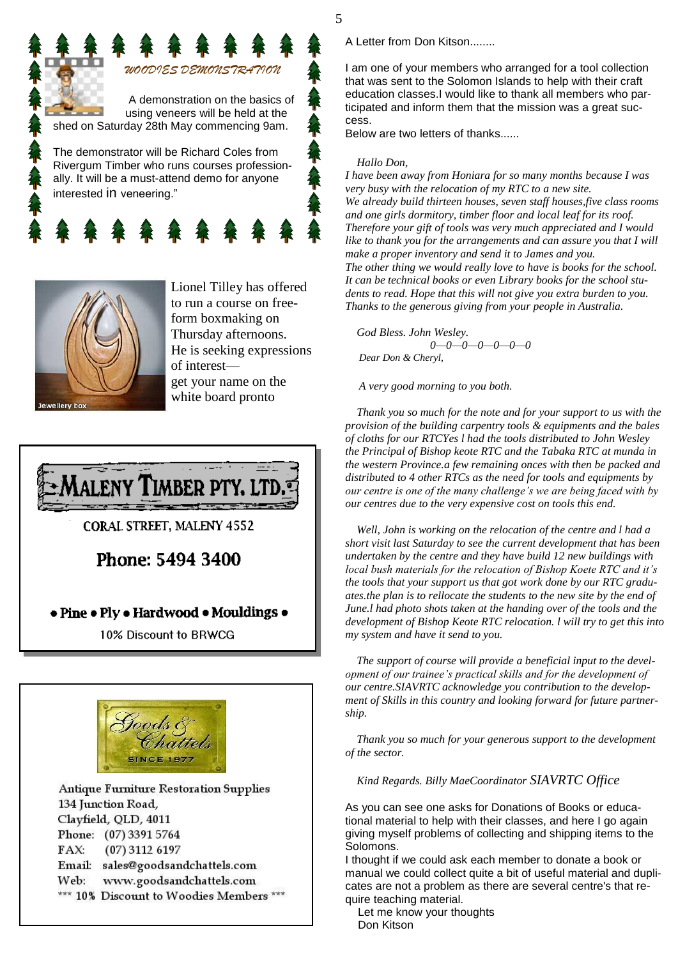

Rivergum Timber who runs courses professionally. It will be a must-attend demo for anyone interested in veneering."





Lionel Tilley has offered to run a course on freeform boxmaking on Thursday afternoons. He is seeking expressions of interest get your name on the white board pronto



**CORAL STREET, MALENY 4552** 

Phone: 5494 3400

## • Pine • Ply • Hardwood • Mouldings •

10% Discount to BRWCG



Antique Furniture Restoration Supplies 134 Junction Road, Clayfield, QLD, 4011 Phone: (07) 3391 5764  $FAX:$  $(07)$  3112 6197 Email: sales@goodsandchattels.com Web: www.goodsandchattels.com \*\*\* 10% Discount to Woodies Members \*\*\* A Letter from Don Kitson........

I am one of your members who arranged for a tool collection that was sent to the Solomon Islands to help with their craft education classes.I would like to thank all members who participated and inform them that the mission was a great success.

Below are two letters of thanks......

#### *Hallo Don,*

*I have been away from Honiara for so many months because I was very busy with the relocation of my RTC to a new site. We already build thirteen houses, seven staff houses,five class rooms and one girls dormitory, timber floor and local leaf for its roof. Therefore your gift of tools was very much appreciated and I would like to thank you for the arrangements and can assure you that I will make a proper inventory and send it to James and you. The other thing we would really love to have is books for the school. It can be technical books or even Library books for the school students to read. Hope that this will not give you extra burden to you. Thanks to the generous giving from your people in Australia.*

 *God Bless. John Wesley. 0—0—0—0—0—0—0 Dear Don & Cheryl,*

*A very good morning to you both.*

 *Thank you so much for the note and for your support to us with the provision of the building carpentry tools & equipments and the bales of cloths for our RTCYes l had the tools distributed to John Wesley the Principal of Bishop keote RTC and the Tabaka RTC at munda in the western Province.a few remaining onces with then be packed and distributed to 4 other RTCs as the need for tools and equipments by our centre is one of the many challenge's we are being faced with by our centres due to the very expensive cost on tools this end.*

 *Well, John is working on the relocation of the centre and l had a short visit last Saturday to see the current development that has been undertaken by the centre and they have build 12 new buildings with local bush materials for the relocation of Bishop Koete RTC and it's the tools that your support us that got work done by our RTC graduates.the plan is to rellocate the students to the new site by the end of June.l had photo shots taken at the handing over of the tools and the development of Bishop Keote RTC relocation. l will try to get this into my system and have it send to you.*

 *The support of course will provide a beneficial input to the development of our trainee's practical skills and for the development of our centre.SIAVRTC acknowledge you contribution to the development of Skills in this country and looking forward for future partnership.*

 *Thank you so much for your generous support to the development of the sector.*

 *Kind Regards. Billy MaeCoordinator SIAVRTC Office*

As you can see one asks for Donations of Books or educational material to help with their classes, and here I go again giving myself problems of collecting and shipping items to the Solomons.

I thought if we could ask each member to donate a book or manual we could collect quite a bit of useful material and duplicates are not a problem as there are several centre's that require teaching material.

 Let me know your thoughts Don Kitson